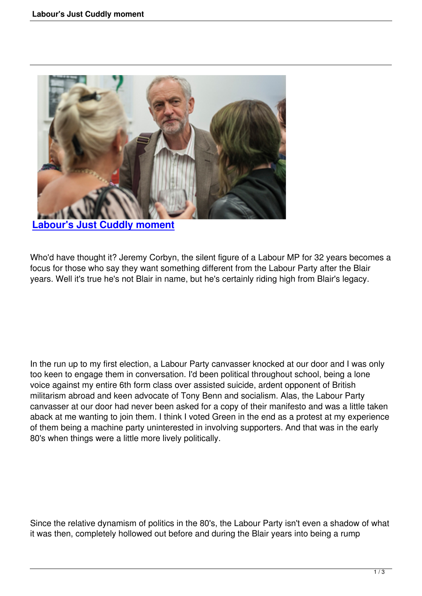

**Labour's Just Cuddly moment**

[Who'd have thought it? Jeremy Corbyn](labours-just-cuddly-moment.html), the silent figure of a Labour MP for 32 years becomes a focus for those who say they want something different from the Labour Party after the Blair years. Well it's true he's not Blair in name, but he's certainly riding high from Blair's legacy.

In the run up to my first election, a Labour Party canvasser knocked at our door and I was only too keen to engage them in conversation. I'd been political throughout school, being a lone voice against my entire 6th form class over assisted suicide, ardent opponent of British militarism abroad and keen advocate of Tony Benn and socialism. Alas, the Labour Party canvasser at our door had never been asked for a copy of their manifesto and was a little taken aback at me wanting to join them. I think I voted Green in the end as a protest at my experience of them being a machine party uninterested in involving supporters. And that was in the early 80's when things were a little more lively politically.

Since the relative dynamism of politics in the 80's, the Labour Party isn't even a shadow of what it was then, completely hollowed out before and during the Blair years into being a rump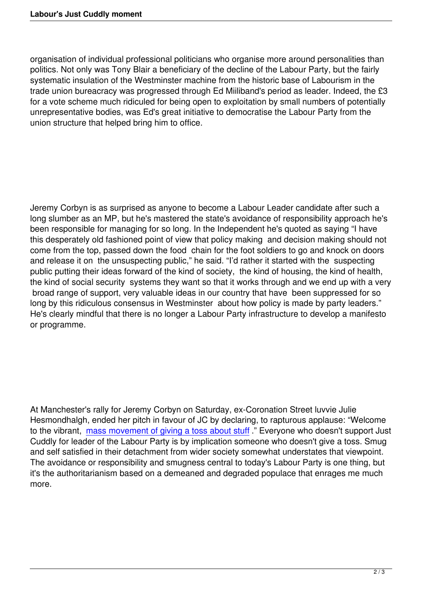organisation of individual professional politicians who organise more around personalities than politics. Not only was Tony Blair a beneficiary of the decline of the Labour Party, but the fairly systematic insulation of the Westminster machine from the historic base of Labourism in the trade union bureacracy was progressed through Ed Miiliband's period as leader. Indeed, the £3 for a vote scheme much ridiculed for being open to exploitation by small numbers of potentially unrepresentative bodies, was Ed's great initiative to democratise the Labour Party from the union structure that helped bring him to office.

Jeremy Corbyn is as surprised as anyone to become a Labour Leader candidate after such a long slumber as an MP, but he's mastered the state's avoidance of responsibility approach he's been responsible for managing for so long. In the Independent he's quoted as saying "I have this desperately old fashioned point of view that policy making and decision making should not come from the top, passed down the food chain for the foot soldiers to go and knock on doors and release it on the unsuspecting public," he said. "I'd rather it started with the suspecting public putting their ideas forward of the kind of society, the kind of housing, the kind of health, the kind of social security systems they want so that it works through and we end up with a very broad range of support, very valuable ideas in our country that have been suppressed for so long by this ridiculous consensus in Westminster about how policy is made by party leaders." He's clearly mindful that there is no longer a Labour Party infrastructure to develop a manifesto or programme.

At Manchester's rally for Jeremy Corbyn on Saturday, ex-Coronation Street luvvie Julie Hesmondhalgh, ended her pitch in favour of JC by declaring, to rapturous applause: "Welcome to the vibrant, mass movement of giving a toss about stuff ." Everyone who doesn't support Just Cuddly for leader of the Labour Party is by implication someone who doesn't give a toss. Smug and self satisfied in their detachment from wider society somewhat understates that viewpoint. The avoidanc[e or responsibility and smugness central to to](http://www.theguardian.com/uk-news/the-northerner/2015/aug/30/jeremy-corbyn-manchester-rally)day's Labour Party is one thing, but it's the authoritarianism based on a demeaned and degraded populace that enrages me much more.